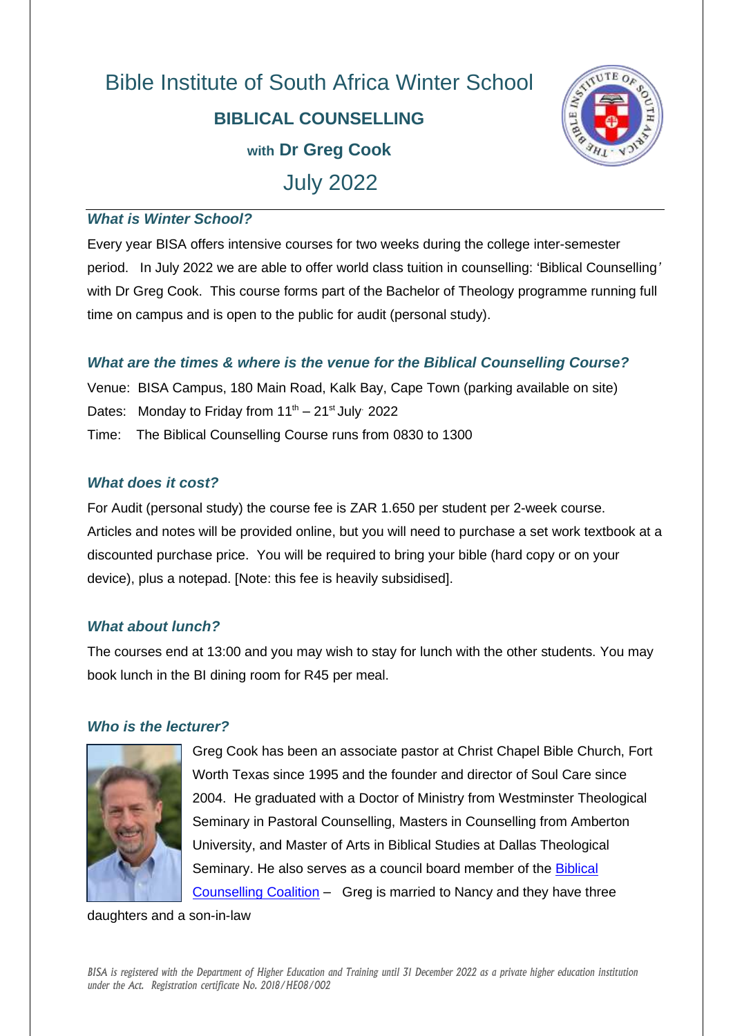# Bible Institute of South Africa Winter School **BIBLICAL COUNSELLING with Dr Greg Cook** July 2022



#### *What is Winter School?*

Every year BISA offers intensive courses for two weeks during the college inter-semester period. In July 2022 we are able to offer world class tuition in counselling: 'Biblical Counselling*'*  with Dr Greg Cook. This course forms part of the Bachelor of Theology programme running full time on campus and is open to the public for audit (personal study).

## *What are the times & where is the venue for the Biblical Counselling Course?*

Venue: BISA Campus, 180 Main Road, Kalk Bay, Cape Town (parking available on site) Dates: Monday to Friday from  $11<sup>th</sup> - 21<sup>st</sup>$  July 2022 Time: The Biblical Counselling Course runs from 0830 to 1300

### *What does it cost?*

For Audit (personal study) the course fee is ZAR 1.650 per student per 2-week course. Articles and notes will be provided online, but you will need to purchase a set work textbook at a discounted purchase price. You will be required to bring your bible (hard copy or on your device), plus a notepad. [Note: this fee is heavily subsidised].

### *What about lunch?*

The courses end at 13:00 and you may wish to stay for lunch with the other students. You may book lunch in the BI dining room for R45 per meal.

### *Who is the lecturer?*



Greg Cook has been an associate pastor at Christ Chapel Bible Church, Fort Worth Texas since 1995 and the founder and director of Soul Care since 2004. He graduated with a Doctor of Ministry from Westminster Theological Seminary in Pastoral Counselling, Masters in Counselling from Amberton University, and Master of Arts in Biblical Studies at Dallas Theological Seminary. He also serves as a council board member of the Biblical [Counselling Coalition](https://www.biblicalcounselingcoalition.org/) – Greg is married to Nancy and they have three

daughters and a son-in-law